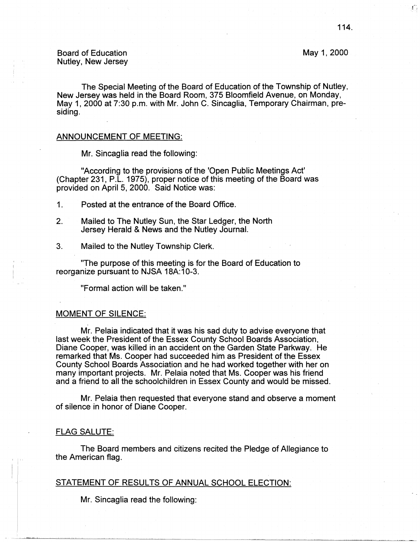May 1, 2000

Board of Education Nutley, New Jersey

The Special Meeting of the Board of Education of the Township of Nutley, New Jersey was held in the Board Room, 375 Bloomfield Avenue, on Monday, May 1, 2000 at 7:30 p.m. with Mr. John C. Sincaglia, Temporary Chairman, presiding.

#### ANNOUNCEMENT OF MEETING:

Mr. Sincaglia read the following:

"According to the provisions of the 'Open Public Meetings Act' (Chapter 231, P.L. 1975), proper notice of this meeting of the Board was provided on April 5, 2000. Said Notice was:

- 1. Posted at the entrance of the Board Office.
- 2. Mailed to The Nutley Sun, the Star Ledger, the North Jersey Herald & **News** and the Nutley Journal.
- 3. Mailed to the Nutley Township Clerk.

"The purpose of this meeting is for the Board of Education to reorganize pursuant to **NJSA** 18A:10-3.

"Formal action will be taken."

## MOMENT OF SILENCE:

Mr. Pelaia indicated that it was his sad duty to advise everyone that last week the President of the Essex County School Boards Association, Diane Cooper, was killed in an accident on the Garden State Parkway. He remarked that Ms. Cooper had succeeded him as President of the Essex County School Boards Association and he had worked together with her on many important projects. Mr. Pelaia noted that Ms. Cooper was his friend and a friend to all the schoolchildren in Essex County and would be missed.

Mr. Pelaia then requested that everyone stand and observe a moment of silence in honor of Diane Cooper.

### FLAG SALUTE:

The Board members and citizens recited the Pledge of Allegiance to the American flag.

## STATEMENT OF RESULTS OF ANNUAL SCHOOL ELECTION:

Mr. Sincaglia read the following:

 $\mathbf{f}^{\ast}$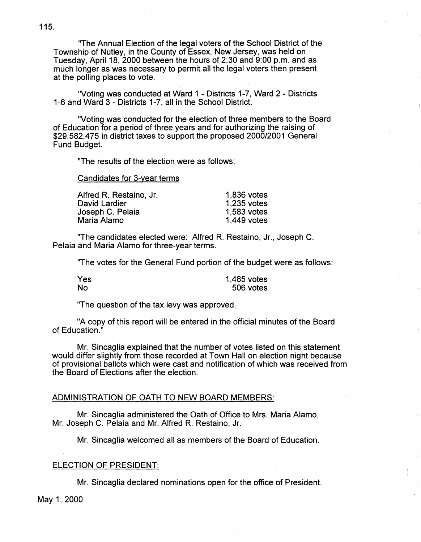"The Annual Election of the legal voters of the School District of the Township of Nutley, in the County of Essex, New Jersey, was held on Tuesday, April 18, 2000 between the hours of 2:30 and 9:00 p.m. and as much longer as was necessary to permit all the legal voters then present at the polling places to vote.

"Voting was conducted at Ward 1 - Districts 1-7, Ward 2 - Districts 1-6 and Ward 3 - Districts 1-7, all in the School District.

"Voting was conducted for the election of three members to the Board of Education for a period of three years and for authorizing the raising of \$29,582,475 in district taxes to support the proposed 2000/2001 General Fund Budget.

"The results of the election were as follows:

Candidates for 3-year terms

| 1,836 votes |
|-------------|
| 1.235 votes |
| 1,583 votes |
| 1,449 votes |
|             |

"The candidates elected were: Alfred R. Restaino, Jr., Joseph C. Pelaia and Maria Alamo for three-year terms.

"The votes for the General Fund portion of the budget were as follows:

Yes No

1,485 votes 506 votes

"The question of the tax levy was approved.

"A copy of this report will be entered in the official minutes of the Board of Education."

Mr. Sincaglia explained that the number of votes listed on this statement would differ slightly from those recorded at Town Hall on election night because of provisional ballots which were cast and notification of which was received from the Board of Elections after the election.

## ADMINISTRATION OF OATH TO NEW BOARD MEMBERS:

Mr. Sincaglia administered the Oath of Office to Mrs. Maria Alamo, Mr. Joseph C. Pelaia and Mr. Alfred R. Restaino, Jr.

Mr. Sincaglia welcomed all as members of the Board of Education.

# ELECTION OF PRESIDENT:

Mr. Sincaglia declared nominations open for the office of President.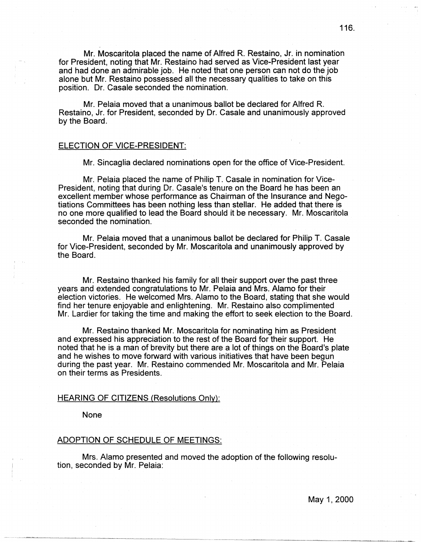Mr. Moscaritola placed the name of Alfred R. Restaino, Jr. in nomination for President, noting that Mr. Restaino had served as Vice-President last year and had done an admirable job. He noted that one person can not do the job alone but Mr. Restaino possessed all the necessary qualities to take on this position. Dr. Casale seconded the nomination.

Mr. Pelaia moved that a unanimous ballot be declared for Alfred R. Restaino, Jr. for President, seconded by Dr. Casale and unanimously approved by the Board.

# ELECTION OF VICE-PRESIDENT:

Mr. Sincaglia declared nominations open for the office of Vice-President.

Mr. Pelaia placed the name of Philip T. Casale in nomination for Vice-President, noting that during Dr. Casale's tenure on the Board he has been an excellent member whose performance as Chairman of the Insurance and Negotiations Committees has been nothing less than stellar. He added that there is no one more qualified to lead the Board should it be necessary. Mr. Moscaritola seconded the nomination.

Mr. Pelaia moved that a unanimous ballot be declared for Philip T. Casale for Vice-President, seconded by Mr. Moscaritola and unanimously approved by the Board.

Mr. Restaino thanked his family for all their support over the past three years and extended congratulations to Mr. Pelaia and Mrs. Alamo for their election victories. He welcomed Mrs. Alamo to the Board, stating that she would find her tenure enjoyable and enlightening. Mr. Restaino also complimented Mr. Lardier for taking the time and making the effort to seek election to the Board.

Mr. Restaino thanked Mr. Moscaritola for nominating him as President and expressed his appreciation to the rest of the Board for their support. He noted that he is a man of brevity but there are a lot of things on the Board's plate and he wishes to move forward with various initiatives that have been begun during the past year. Mr. Restaino commended Mr. Moscaritola and Mr. Pelaia on their terms as Presidents.

## HEARING OF CITIZENS (Resolutions Only):

None

### ADOPTION OF SCHEDULE OF MEETINGS:

Mrs. Alamo presented and moved the adoption of the following resolution, seconded by Mr. Pelaia: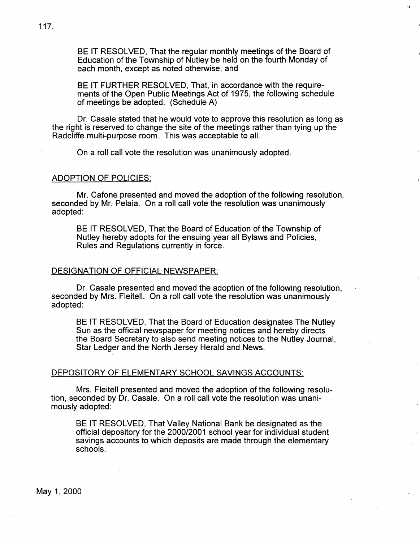BE IT RESOLVED, That the regular monthly meetings of the Board of Education of the Township of Nutley be held on the fourth Monday of each month, except as noted otherwise, and

......

BE IT FURTHER RESOLVED, That, in accordance with the requirements of the Open Public Meetings Act of 1975, the following schedule of meetings be adopted. (Schedule A)

Dr. Casale stated that he would vote to approve this resolution as long as the right is reserved to change the site of the meetings rather than tying up the Radcliffe multi-purpose room. This was acceptable to all.

On a roll call vote the resolution was unanimously adopted.

## ADOPTION OF POLICIES:

Mr. Catone presented and moved the adoption of the following resolution, seconded by Mr. Pelaia. On a roll call vote the resolution was unanimously adopted:

BE IT RESOLVED, That the Board of Education of the Township of Nutley hereby adopts for the ensuing year all Bylaws and Policies, Rules and Regulations currently in force.

### DESIGNATION OF OFFICIAL NEWSPAPER:

Dr. Casale presented and moved the adoption of the following resolution, seconded by Mrs. Fleitell. On a roll call vote the resolution was unanimously adopted:

BE IT RESOLVED, That the Board of Education designates The Nutley Sun as the official newspaper for meeting notices and hereby directs the Board Secretary to also send meeting notices to the Nutley Journal, Star Ledger and the· North Jersey Herald and **News.** 

# DEPOSITORY OF ELEMENTARY SCHOOL SAVINGS ACCOUNTS:

Mrs. Fleitell presented and moved the adoption of the following resolution, seconded by Dr. Casale. On a roll call vote the resolution was unanimously adopted:

BE IT RESOLVED, That Valley National Bank be designated as the official depository for the 2000/2001 school year for individual student savings accounts to which deposits are made through the elementary schools.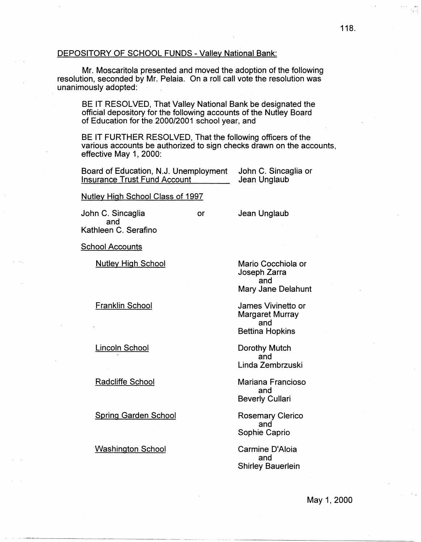## DEPOSITORY OF SCHOOL FUNDS - Valley National Bank:

Mr. Moscaritola presented and moved the adoption of the following resolution, seconded by Mr. Pelaia. On a roll call vote the resolution was unanimously adopted:

BE IT RESOLVED, That Valley National Bank be designated the official depository for the following accounts of the Nutley Board of Education for the 2000/2001 school year, and

BE IT FURTHER RESOLVED, That the following officers of the various accounts be authorized to sign checks drawn on the accounts, effective May 1, 2000:

Board of Education, N.J. Unemployment John C. Sincaglia or Insurance Trust Fund Account

Nutley High School Class of 1997

John C. Sincaglia and Kathleen C. Serafino

or Jean Unglaub

School Accounts

Nutley High School

Franklin School

Lincoln School

Radcliffe School

Spring Garden School

Washington School

Mario Cocchiola or Joseph Zarra and Mary Jane Delahunt

James Vivinetto or Margaret Murray and Bettina Hopkins

Dorothy Mutch and Linda Zembrzuski

Mariana Franciosa and Beverly Cullari

Rosemary Clerico and Sophie Caprio

Carmine D'Aloia and Shirley Bauerlein 118.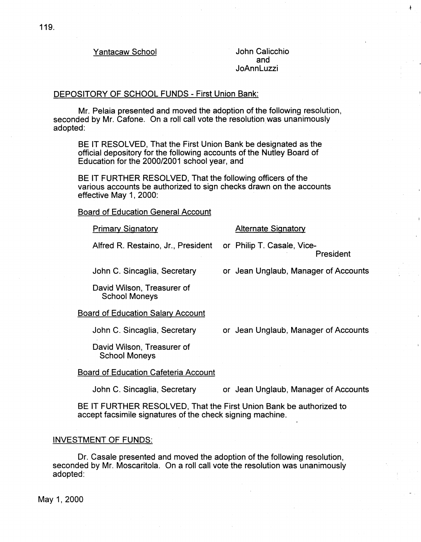Yantacaw School **Vantacaw School** John Calicchio

and JoAnnLuzzi

# DEPOSITORY OF SCHOOL FUNDS - First Union Bank:

Mr. Pelaia presented and moved the adoption of the following resolution, seconded by Mr. Cafone. On a roll call vote the resolution was unanimously adopted:

BE IT RESOLVED, That the First Union Bank be designated as the official depository for the following accounts of the Nutley Board of Education for the 2000/2001 school year, and

BE IT FURTHER RESOLVED, That the following officers of the various accounts be authorized to sign checks drawn on the accounts effective May 1, 2000:

Board of Education General Account

## **Primary Signatory Community Alternate Signatory**

Alfred R. Restaino, Jr., President or Philip T. Casale, Vice-

President

 $\ddagger$ 

John C. Sincaglia, Secretary or Jean Unglaub, Manager of Accounts

David Wilson, Treasurer of School Moneys

Board of Education Salary Account

John C. Sincaglia, Secretary

or Jean Unglaub, Manager of Accounts

David Wilson, Treasurer of School Moneys

## Board of Education Cafeteria Account

John C. Sincaglia, Secretary

or Jean Unglaub, Manager of Accounts

BE IT FURTHER RESOLVED, That the First Union Bank be authorized to accept facsimile signatures of the check signing machine.

## INVESTMENT OF FUNDS:

Dr. Casale presented and moved the adoption of the following resolution, seconded by Mr. Moscaritola. On a roll call vote the resolution was unanimously adopted: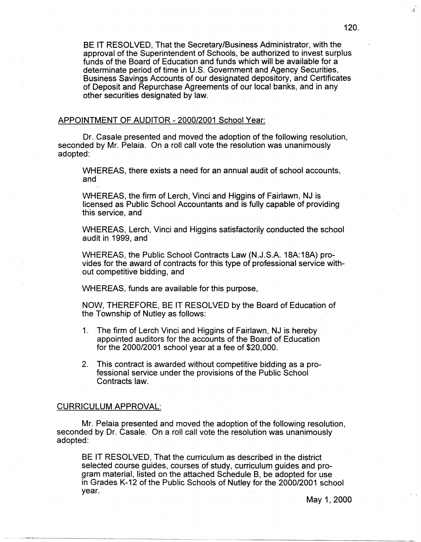BE IT RESOLVED, That the Secretary/Business Administrator, with the approval of the Superintendent of Schools, be authorized to invest surplus funds of the Board of Education and funds which will be available for a determinate period of time in U.S. Government and Agency Securities. Business Savings Accounts of our designated depository, and Certificates of Deposit and Repurchase Agreements of our local banks, and in any other securities designated by law.

# APPOINTMENT OF AUDITOR - 2000/2001 School Year:

Dr. Casale presented and moved the adoption of the following resolution, seconded by Mr. Pelaia. On a roll call vote the resolution was unanimously adopted:

WHEREAS, there exists a need for an annual audit of school accounts, and

WHEREAS, the firm of Lerch, Vinci and Higgins of Fairlawn, NJ is licensed as Public School Accountants and is fully capable of providing this service, and

WHEREAS, Lerch, Vinci and Higgins satisfactorily conducted the school audit in 1999, and

WHEREAS, the Public School Contracts Law (N.J.S.A. 18A:18A) provides for the award of contracts for this type of professional service without competitive bidding, and

WHEREAS, funds are available for this purpose,

NOW, THEREFORE, BE IT RESOLVED by the Board of Education of the Township of Nutley as follows:

- 1. The firm of Lerch Vinci and Higgins of Fairlawn, NJ is hereby appointed auditors for the accounts of the Board of Education for the 2000/2001 school year at a fee of \$20,000.
- 2. This contract is awarded without competitive bidding as a professional service under the provisions of the Public School Contracts law.

# CURRICULUM APPROVAL:

Mr. Pelaia presented and moved the adoption of the following resolution, seconded by Dr. Casale. On a roll call vote the resolution was unanimously adopted:

BE IT RESOLVED, That the curriculum as described in the district selected course guides, courses of study, curriculum guides and program material, listed on the attached Schedule B, be adopted for use in Grades K-12 of the Public Schools of Nutley for the 2000/2001 school year.

ੋਪੁੱ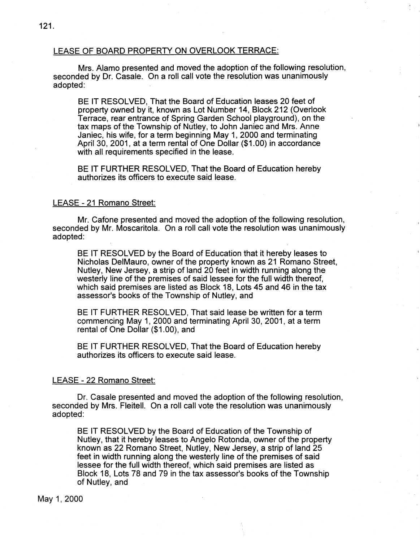# LEASE OF BOARD PROPERTY ON OVERLOOK TERRACE:

Mrs. Alamo presented and moved the adoption of the following resolution, seconded by Dr. Casale. On a roll call vote the resolution was unanimously adopted:

BE IT RESOLVED, That the Board of Education leases 20 feet of property owned by it, known as Lot Number 14, Block 212 (Overlook Terrace, rear entrance of Spring Garden School playground), on the tax maps of the Township of Nutley, to John Janiec and Mrs. Anne Janiec, his wife, for a term beginning May 1, 2000 and terminating April 30, 2001, at a term rental of One Dollar (\$1.00) in accordance with all requirements specified in the lease.

BE IT FURTHER RESOLVED, That the Board of Education hereby authorizes its officers to execute said lease.

### LEASE - 21 Romano Street:

Mr. Catone presented and moved the adoption of the following resolution, seconded by Mr. Moscaritola. On a roll call vote the resolution was unanimously adopted:

BE IT RESOLVED by the Board of Education that it hereby leases to Nicholas DelMauro, owner of the property known as 21 Romano Street, Nutley, New Jersey, a strip of land 20 feet in width running along the westerly line of the premises of said lessee for the full width thereof, which said premises are listed as Block 18, Lots 45 and 46 in the tax assessor's books of the Township of Nutley, and

BE IT FURTHER RESOLVED, That said lease be written for a term commencing May 1, 2000 and terminating April 30, 2001, at a term rental of One Dollar (\$1.00), and

BE IT FURTHER RESOLVED, That the Board of Education hereby authorizes its officers to execute said lease.

# LEASE - 22 Romano Street:

Dr. Casale presented and moved the adoption of the following resolution, seconded by Mrs. Fleitell. On a roll call vote the resolution was unanimously adopted:

BE IT RESOLVED by the Board of Education of the Township of Nutley, that it hereby leases to Angelo Rotonda, owner of the property known as 22 Romano Street, Nutley, New Jersey, a strip of land 25 feet in width running along the westerly line of the premises of said lessee for the full width thereof, which said premises are listed as Block 18, Lots 78 and 79 in the tax assessor's books of the Township of Nutley, and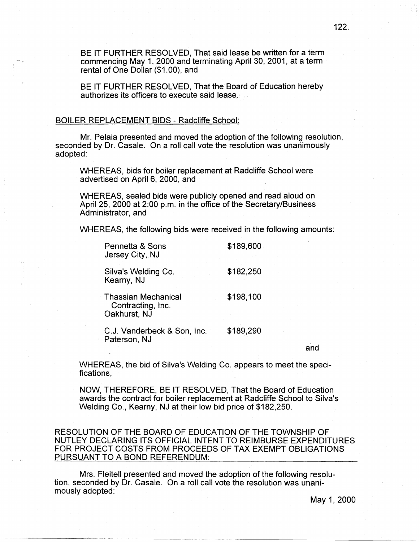BE IT FURTHER RESOLVED, That said lease be written for a term commencing May 1, 2000 and terminating April 30, 2001, at a term rental of One Dollar (\$1.00), and

BE IT FURTHER RESOLVED, That the Board of Education hereby authorizes its officers to execute said lease.

## BOILER REPLACEMENT BIDS - Radcliffe School:

Mr. Pelaia presented and moved the adoption of the following resolution, seconded by Dr. Casale. On a roll call vote the resolution was unanimously adopted:

WHEREAS, bids for boiler replacement at Radcliffe School were advertised on April 6, 2000, and

WHEREAS, sealed bids were publicly opened and read aloud on April 25, 2000 at 2:00 p.m. in the office of the Secretary/Business Administrator, and

WHEREAS, the following bids were received in the following amounts:

| Pennetta & Sons<br>Jersey City, NJ                              | \$189,600 |
|-----------------------------------------------------------------|-----------|
| Silva's Welding Co.<br>Kearny, NJ                               | \$182,250 |
| <b>Thassian Mechanical</b><br>Contracting, Inc.<br>Oakhurst, NJ | \$198,100 |
| C.J. Vanderbeck & Son, Inc.                                     | \$189,290 |

Paterson, NJ

and

WHEREAS, the bid of Silva's Welding Co. appears to meet the specifications,

NOW, THEREFORE, BE IT RESOLVED, That the Board of Education awards the contract for boiler replacement at Radcliffe School to Silva's Welding Co., Kearny, NJ at their low bid price of \$182,250.

RESOLUTION OF THE BOARD OF EDUCATION OF THE TOWNSHIP OF NUTLEY DECLARING ITS OFFICIAL INTENT TO REIMBURSE EXPENDITURES FOR PROJECT COSTS FROM PROCEEDS OF TAX EXEMPT OBLIGATIONS PURSUANT TO A BOND REFERENDUM:

Mrs. Fleitell presented and moved the adoption of the following resolution, seconded by Dr. Casale. On a roll call vote the resolution was unanimously adopted: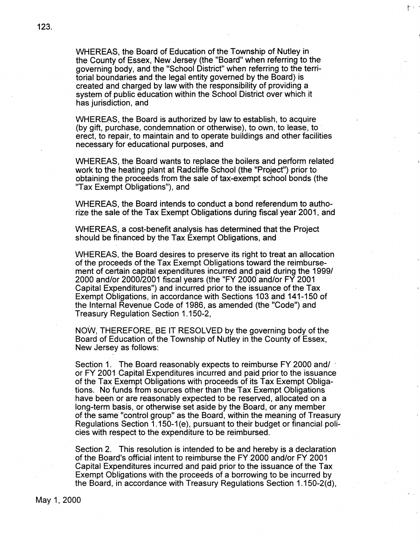WHEREAS, the Board of Education of the Township of Nutley in the County of Essex, New Jersey (the "Board" when referring to the governing body, and the "School District" when referring to the territorial boundaries and the legal entity governed by the Board) is created and charged by law with the responsibility of providing a system of public education within the School District over which it has jurisdiction, and

村庄

WHEREAS, the Board is authorized by law to establish, to acquire (by gift, purchase, condemnation or otherwise), to own, to lease, to erect, to repair, to maintain and to operate buildings and other facilities necessary for educational purposes, and

WHEREAS, the Board wants to replace the boilers and perform related work to the heating plant at Radcliffe School (the "Project") prior to obtaining the proceeds from the sale of tax-exempt school bonds (the "Tax Exempt Obligations"), and

WHEREAS, the Board intends to conduct a bond referendum to authorize the sale of the Tax Exempt Obligations during fiscal year 2001, and

WHEREAS, a cost-benefit analysis has determined that the Project should be financed by the Tax Exempt Obligations, and

WHEREAS, the Board desires to preserve its right to treat an allocation of the proceeds of the Tax Exempt Obligations toward the reimbursement of certain capital expenditures incurred and paid during the 1999/ 2000 and/or 2000/2001 fiscal years (the "FY 2000 and/or FY 2001 Capital Expenditures") and incurred prior to the issuance of the Tax Exempt Obligations, in accordance with Sections 103 and 141-150 of the Internal Revenue Code of 1986, as amended (the "Code") and Treasury Regulation Section 1.150-2,

NOW, THEREFORE, BE IT RESOLVED by the governing body of the Board of Education of the Township of Nutley in the County of Essex, New Jersey as follows:

Section 1. The Board reasonably expects to reimburse FY 2000 and/ or FY 2001 Capital Expenditures incurred and paid prior to the issuance of the Tax Exempt Obligations with proceeds of its Tax Exempt Obligations. No funds from sources other than the Tax Exempt Obligations have been or are reasonably expected to be reserved, allocated on a long-term basis, or otherwise set aside by the Board, or any member of the same "control group" as the Board, within the meaning of Treasury Regulations Section 1.150-1 (e), pursuant to their budget or financial policies with respect to the expenditure to be reimbursed.

Section 2. This resolution is intended to be and hereby is a declaration of the Board's official intent to reimburse the FY 2000 and/or FY 2001 Capital Expenditures incurred and paid prior to the issuance of the Tax Exempt Obligations with the proceeds of a borrowing to be incurred by the Board, in accordance with Treasury Regulations Section 1.150-2(d),